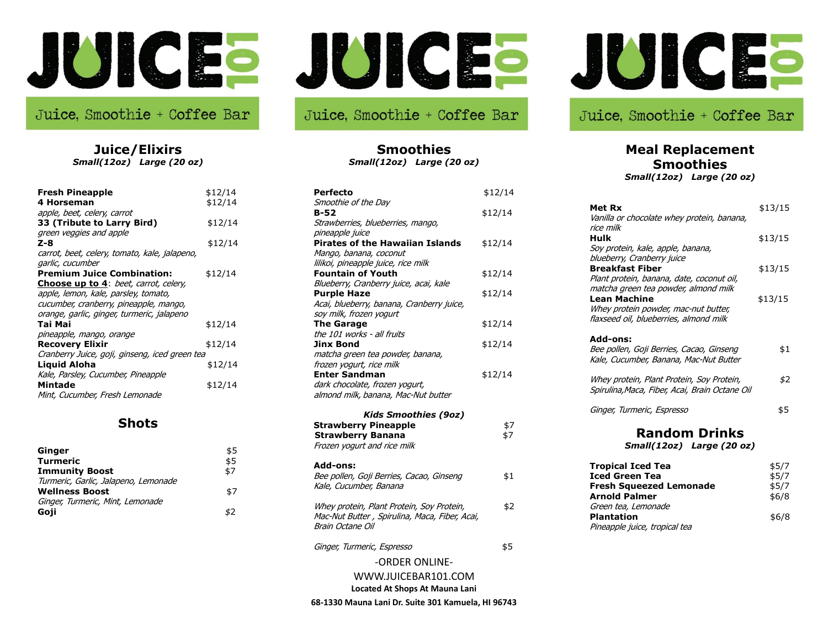

# Juice, Smoothie + Coffee Bar

**Juice/Elixirs** *Small(12oz) Large (20 oz)*

| <b>Fresh Pineapple</b><br>4 Horseman<br>apple, beet, celery, carrot                  | \$12/14<br>\$12/14 |
|--------------------------------------------------------------------------------------|--------------------|
| 33 (Tribute to Larry Bird)                                                           | \$12/14            |
| green veggies and apple<br>Z-8                                                       | \$12/14            |
| carrot, beet, celery, tomato, kale, jalapeno,<br>garlic, cucumber                    |                    |
| <b>Premium Juice Combination:</b>                                                    | \$12/14            |
| <b>Choose up to 4:</b> beet, carrot, celery,<br>apple, lemon, kale, parsley, tomato, |                    |
| cucumber, cranberry, pineapple, mango,<br>orange, garlic, ginger, turmeric, jalapeno |                    |
| Tai Mai                                                                              | \$12/14            |
| pineapple, mango, orange<br>Recovery Elixir                                          | \$12/14            |
| Cranberry Juice, goji, ginseng, iced green tea<br><b>Liquid Aloha</b>                | \$12/14            |
| Kale, Parsley, Cucumber, Pineapple<br>Mintade                                        | \$12/14            |
| Mint, Cucumber, Fresh Lemonade                                                       |                    |

#### **Shots**

| Ginger                               | \$5 |
|--------------------------------------|-----|
| <b>Turmeric</b>                      | \$5 |
| <b>Immunity Boost</b>                | \$7 |
| Turmeric, Garlic, Jalapeno, Lemonade |     |
| <b>Wellness Boost</b>                | \$7 |
| Ginger, Turmeric, Mint, Lemonade     |     |
| Goji                                 | \$2 |

# Juice, Smoothie + Coffee Bar

**Smoothies** *Small(12oz) Large (20 oz)*

| <b>Perfecto</b>                                                    | \$12/14 |
|--------------------------------------------------------------------|---------|
| Smoothie of the Day                                                |         |
| $B-52$                                                             | \$12/14 |
| Strawberries, blueberries, mango,                                  |         |
| pineapple juice                                                    |         |
| <b>Pirates of the Hawaiian Islands</b>                             | \$12/14 |
| Mango, banana, coconut                                             |         |
| lilikoi, pineapple juice, rice milk                                |         |
| <b>Fountain of Youth</b>                                           | \$12/14 |
| Blueberry, Cranberry juice, acai, kale                             |         |
| <b>Purple Haze</b>                                                 | \$12/14 |
| Acai, blueberry, banana, Cranberry juice,                          |         |
| soy milk, frozen yogurt                                            |         |
| <b>The Garage</b>                                                  | \$12/14 |
| the 101 works - all fruits                                         |         |
| <b>Jinx Bond</b>                                                   | \$12/14 |
| matcha green tea powder, banana,                                   |         |
| frozen yogurt, rice milk                                           |         |
| <b>Enter Sandman</b>                                               | \$12/14 |
| dark chocolate, frozen yogurt,                                     |         |
| almond milk, banana, Mac-Nut butter                                |         |
| <b>Kids Smoothies (9oz)</b>                                        |         |
| <b>Strawberry Pineapple</b>                                        | \$7     |
| <b>Strawberry Banana</b>                                           | \$7     |
| Frozen yogurt and rice milk                                        |         |
| Add-ons:                                                           |         |
| Bee pollen, Goji Berries, Cacao, Ginseng<br>Kale, Cucumber, Banana | \$1     |
|                                                                    |         |
| Whey protein, Plant Protein, Soy Protein,                          | \$2     |
| Mac-Nut Butter, Spirulina, Maca, Fiber, Acai,<br>Brain Octane Oil  |         |
| Ginger, Turmeric, Espresso                                         | \$5     |
| -ORDER ONLINE-                                                     |         |
| WWW.JUICEBAR101.COM                                                |         |

**Located At Shops At Mauna Lani**

**68-1330 Mauna Lani Dr. Suite 301 Kamuela, HI 96743**



### Juice, Smoothie + Coffee Bar

# **Meal Replacement Smoothies**

*Small(12oz) Large (20 oz)*

| Met Rx<br>Vanilla or chocolate whey protein, banana,<br>rice milk                                                                      | \$13/15                          |
|----------------------------------------------------------------------------------------------------------------------------------------|----------------------------------|
| Hulk<br>Soy protein, kale, apple, banana,                                                                                              | \$13/15                          |
| blueberry, Cranberry juice<br><b>Breakfast Fiber</b><br>Plant protein, banana, date, coconut oil,                                      | \$13/15                          |
| matcha green tea powder, almond milk<br>Lean Machine<br>Whey protein powder, mac-nut butter,<br>flaxseed oil, blueberries, almond milk | \$13/15                          |
| Add-ons:<br>Bee pollen, Goji Berries, Cacao, Ginseng<br>Kale, Cucumber, Banana, Mac-Nut Butter                                         | \$1                              |
| Whey protein, Plant Protein, Soy Protein,<br>Spirulina, Maca, Fiber, Acai, Brain Octane Oil                                            | \$2                              |
| Ginger, Turmeric, Espresso                                                                                                             | \$5                              |
| Random Drinks<br>Small(12oz) Large (20 oz)                                                                                             |                                  |
| <b>Tropical Iced Tea</b><br><b>Iced Green Tea</b><br><b>Fresh Squeezed Lemonade</b><br><b>Arnold Palmer</b><br>Green tea, Lemonade     | \$5/7<br>\$5/7<br>\$5/7<br>\$6/8 |
| <b>Plantation</b>                                                                                                                      | \$6/8                            |

Pineapple juice, tropical tea